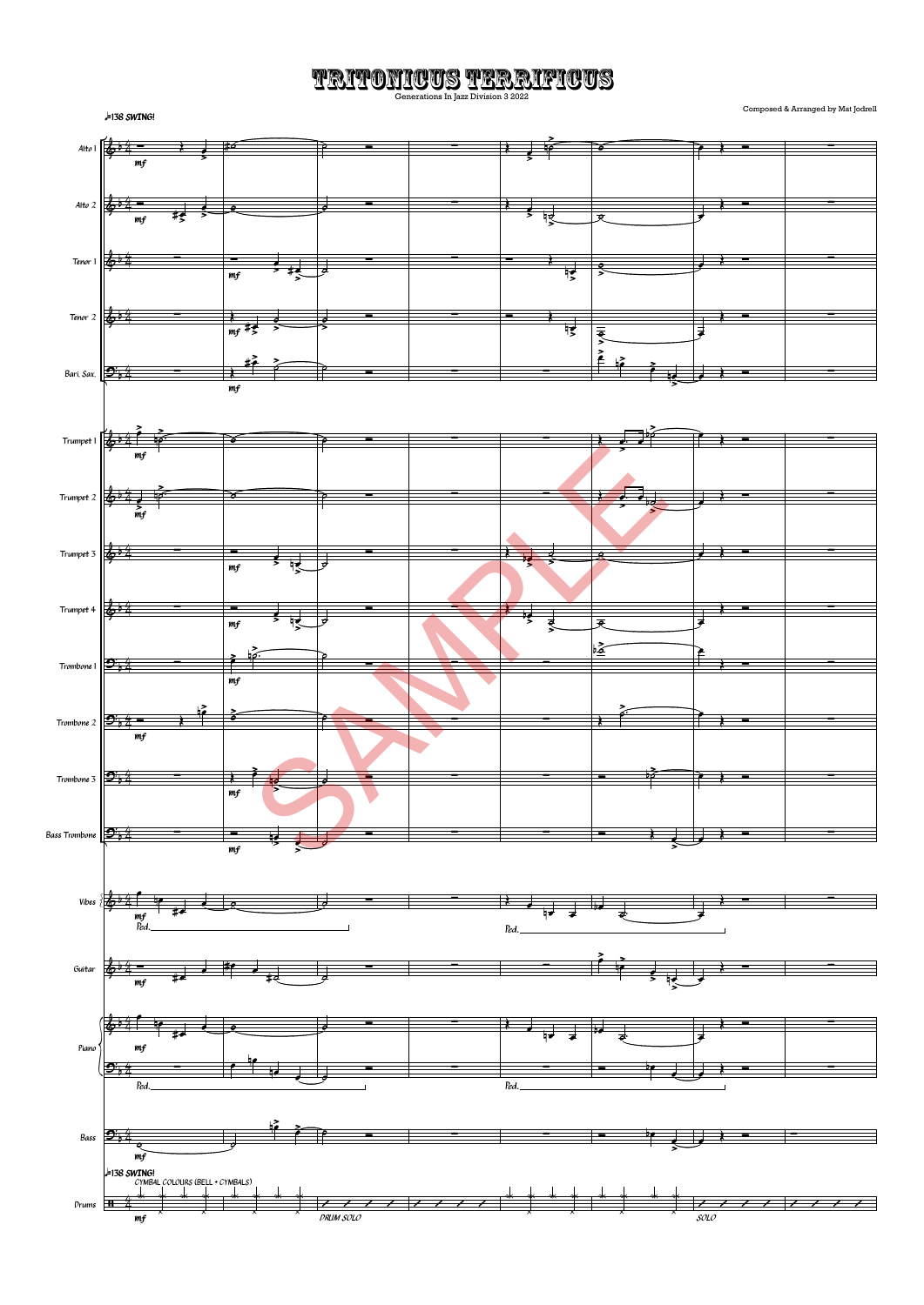TRITONICUS TERRIFICUS

Generations In Jazz Division 3 2022

Composed & Arranged by Mat Jodrell

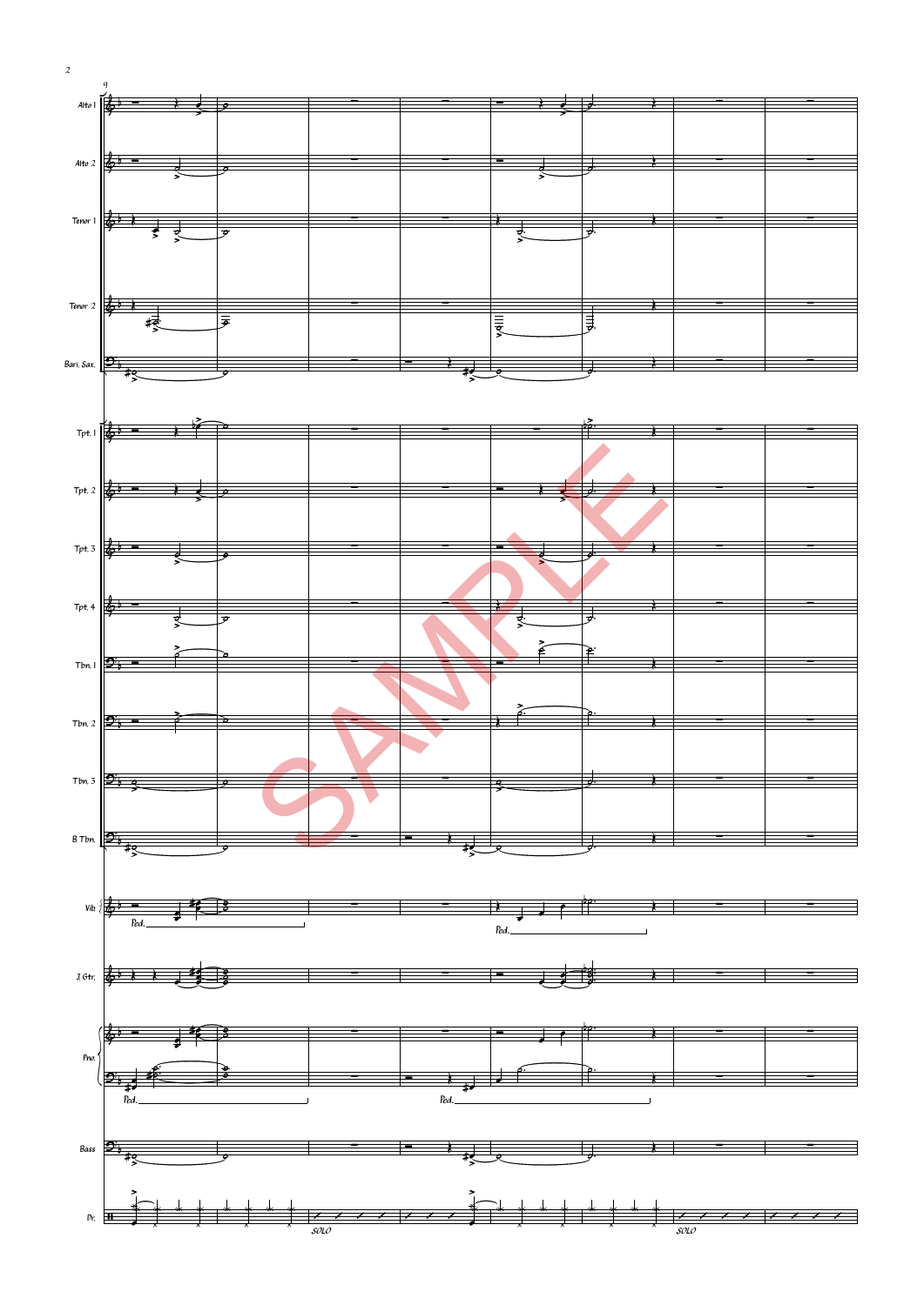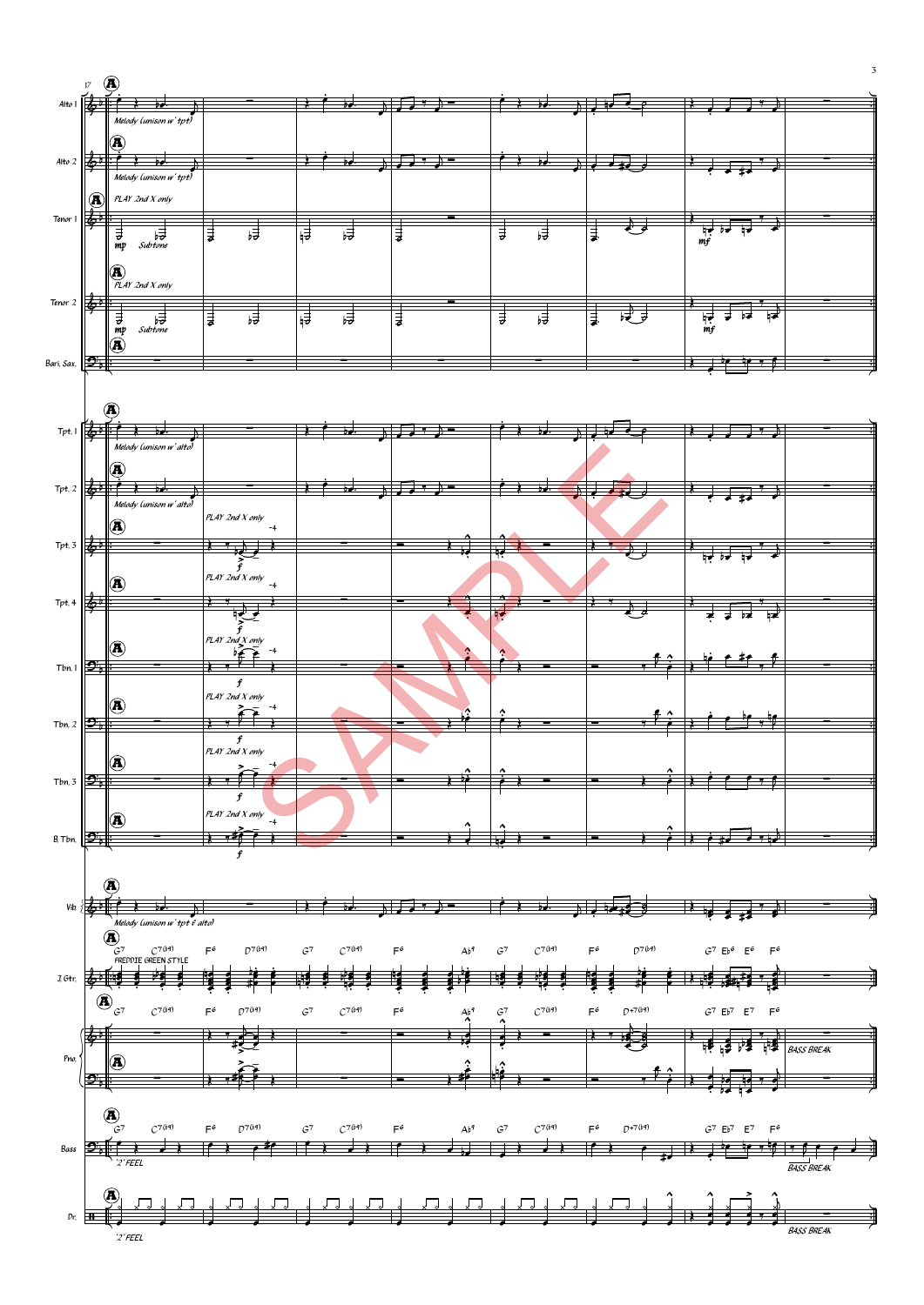